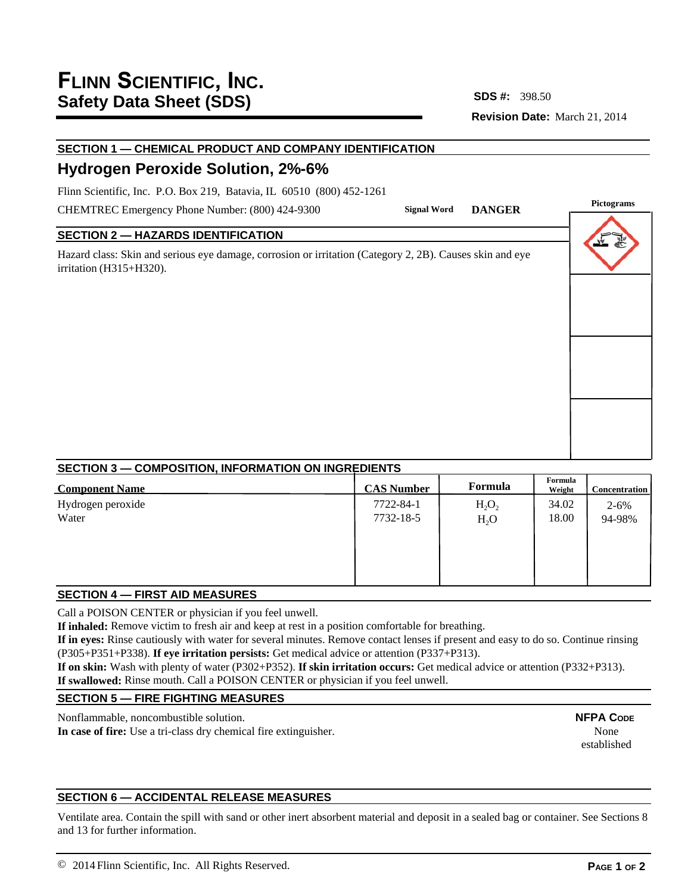## **Revision Date:** March 21, 2014 **SDS #:**

**Pignal Word DANGER** 

# **SECTION 1 — CHEMICAL PRODUCT AND COMPANY IDENTIFICATION**

# **Hydrogen Peroxide Solution, 2%-6%**

Flinn Scientific, Inc. P.O. Box 219, Batavia, IL 60510 (800) 452-1261

CHEMTREC Emergency Phone Number: (800) 424-9300

## **SECTION 2 — HAZARDS IDENTIFICATION**

Hazard class: Skin and serious eye damage, corrosion or irritation (Category 2, 2B). Causes skin and eye irritation (H315+H320).

| Pictograms |  |  |  |  |
|------------|--|--|--|--|
| v          |  |  |  |  |
|            |  |  |  |  |
|            |  |  |  |  |
|            |  |  |  |  |

## **SECTION 3 — COMPOSITION, INFORMATION ON INGREDIENTS**

| <b>Component Name</b> | <b>CAS Number</b> | Formula  | Formula<br>Weight | <b>Concentration</b> |
|-----------------------|-------------------|----------|-------------------|----------------------|
| Hydrogen peroxide     | 7722-84-1         | $H_2O_2$ | 34.02             | $2 - 6\%$            |
| Water                 | 7732-18-5         | $H_2O$   | 18.00             | 94-98%               |
|                       |                   |          |                   |                      |
|                       |                   |          |                   |                      |
|                       |                   |          |                   |                      |
|                       |                   |          |                   |                      |

## **SECTION 4 — FIRST AID MEASURES**

Call a POISON CENTER or physician if you feel unwell.

**If inhaled:** Remove victim to fresh air and keep at rest in a position comfortable for breathing.

**If in eyes:** Rinse cautiously with water for several minutes. Remove contact lenses if present and easy to do so. Continue rinsing (P305+P351+P338). **If eye irritation persists:** Get medical advice or attention (P337+P313).

**If on skin:** Wash with plenty of water (P302+P352). **If skin irritation occurs:** Get medical advice or attention (P332+P313). **If swallowed:** Rinse mouth. Call a POISON CENTER or physician if you feel unwell.

## **SECTION 5 — FIRE FIGHTING MEASURES**

Nonflammable, noncombustible solution.

**In case of fire:** Use a tri-class dry chemical fire extinguisher.

**NFPA CODE** None established

## **SECTION 6 — ACCIDENTAL RELEASE MEASURES**

Ventilate area. Contain the spill with sand or other inert absorbent material and deposit in a sealed bag or container. See Sections 8 and 13 for further information.